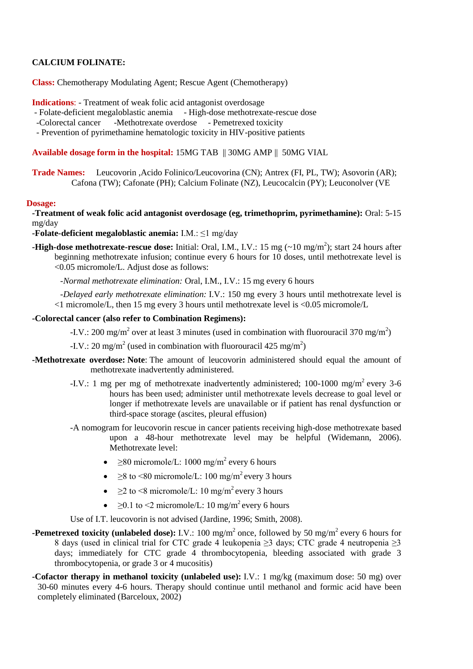# **CALCIUM FOLINATE:**

**Class:** Chemotherapy Modulating Agent; Rescue Agent (Chemotherapy)

**Indications**: - Treatment of weak folic acid antagonist overdosage

- Folate-deficient megaloblastic anemia High-dose methotrexate-rescue dose
- -Colorectal cancer -Methotrexate overdose Pemetrexed toxicity
- Prevention of pyrimethamine hematologic toxicity in HIV-positive patients

**Available dosage form in the hospital:** 15MG TAB || 30MG AMP || 50MG VIAL

**Trade Names:** Leucovorin ,Acido Folinico/Leucovorina (CN); Antrex (FI, PL, TW); Asovorin (AR); Cafona (TW); Cafonate (PH); Calcium Folinate (NZ), Leucocalcin (PY); Leuconolver (VE

#### **Dosage:**

**-Treatment of weak folic acid antagonist overdosage (eg, trimethoprim, pyrimethamine):** Oral: 5-15 mg/day

**-Folate-deficient megaloblastic anemia:** I.M.: ≤1 mg/day

**-High-dose methotrexate-rescue dose:** Initial: Oral, I.M., I.V.: 15 mg  $(\sim 10 \text{ mg/m}^2)$ ; start 24 hours after beginning methotrexate infusion; continue every 6 hours for 10 doses, until methotrexate level is <0.05 micromole/L. Adjust dose as follows:

*-Normal methotrexate elimination:* Oral, I.M., I.V.: 15 mg every 6 hours

*-Delayed early methotrexate elimination:* I.V.: 150 mg every 3 hours until methotrexate level is  $\leq$ 1 micromole/L, then 15 mg every 3 hours until methotrexate level is  $\leq$ 0.05 micromole/L

### **-Colorectal cancer (also refer to Combination Regimens):**

-I.V.: 200 mg/m<sup>2</sup> over at least 3 minutes (used in combination with fluorouracil 370 mg/m<sup>2</sup>)

-I.V.: 20 mg/m<sup>2</sup> (used in combination with fluorouracil 425 mg/m<sup>2</sup>)

- **-Methotrexate overdose: Note**: The amount of leucovorin administered should equal the amount of methotrexate inadvertently administered.
	- -I.V.: 1 mg per mg of methotrexate inadvertently administered; 100-1000 mg/m<sup>2</sup> every 3-6 hours has been used; administer until methotrexate levels decrease to goal level or longer if methotrexate levels are unavailable or if patient has renal dysfunction or third-space storage (ascites, pleural effusion)
	- -A nomogram for leucovorin rescue in cancer patients receiving high-dose methotrexate based upon a 48-hour methotrexate level may be helpful (Widemann, 2006). Methotrexate level:
		- $\geq 80$  micromole/L: 1000 mg/m<sup>2</sup> every 6 hours
		- $\geq 8$  to <80 micromole/L: 100 mg/m<sup>2</sup> every 3 hours
		- $\geq$  2 to <8 micromole/L: 10 mg/m<sup>2</sup> every 3 hours
		- $\geq 0.1$  to <2 micromole/L: 10 mg/m<sup>2</sup> every 6 hours

Use of I.T. leucovorin is not advised (Jardine, 1996; Smith, 2008).

- **-Pemetrexed toxicity (unlabeled dose):** I.V.: 100 mg/m<sup>2</sup> once, followed by 50 mg/m<sup>2</sup> every 6 hours for 8 days (used in clinical trial for CTC grade 4 leukopenia  $\geq$ 3 days; CTC grade 4 neutropenia  $\geq$ 3 days; immediately for CTC grade  $\frac{3}{4}$  thrombocytopenia, bleeding associated with grade  $\frac{3}{4}$ thrombocytopenia, or grade 3 or 4 mucositis)
- **-Cofactor therapy in methanol toxicity (unlabeled use):** I.V.: 1 mg/kg (maximum dose: 50 mg) over 30-60 minutes every 4-6 hours. Therapy should continue until methanol and formic acid have been completely eliminated (Barceloux, 2002)